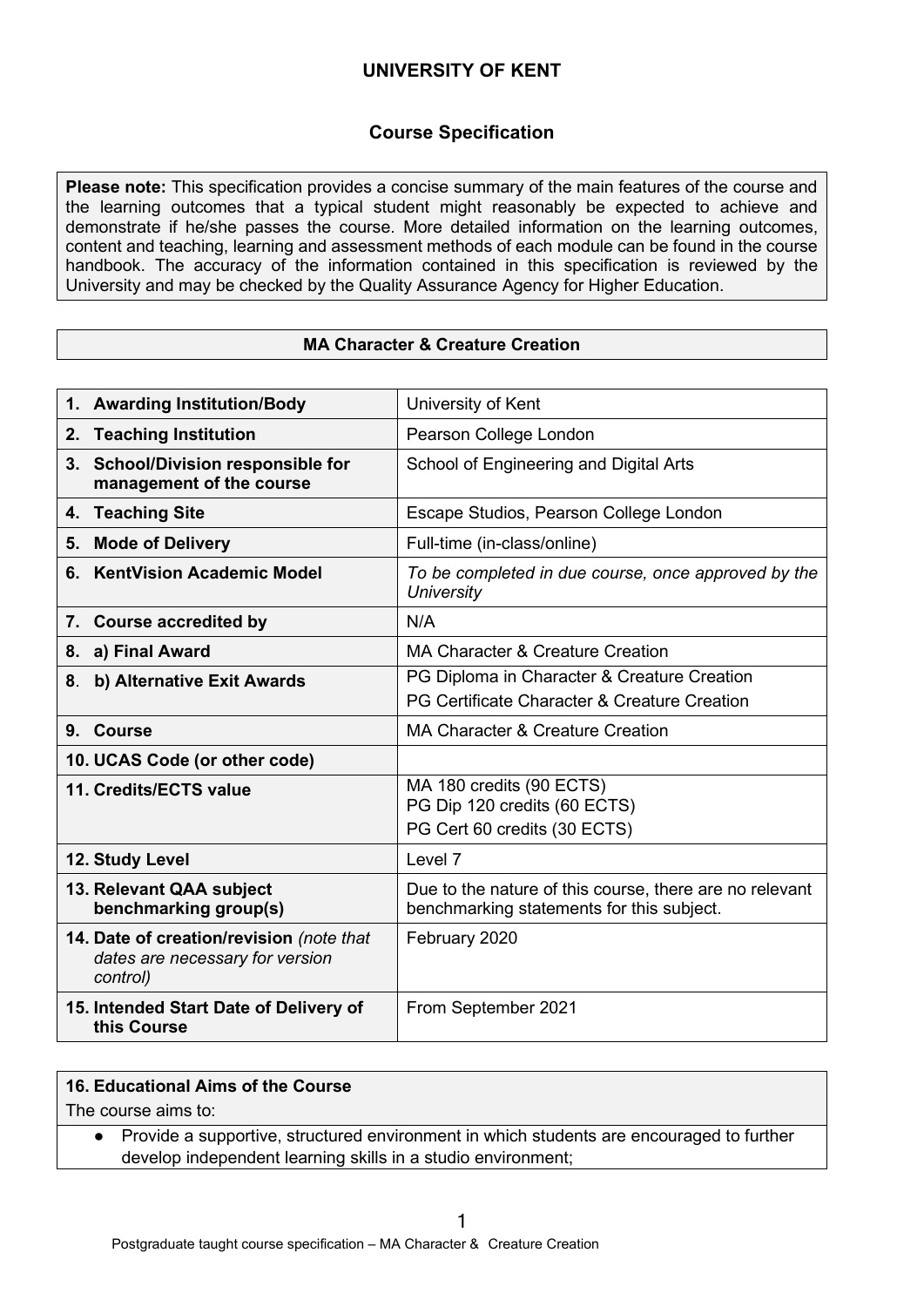## **Course Specification**

**Please note:** This specification provides a concise summary of the main features of the course and the learning outcomes that a typical student might reasonably be expected to achieve and demonstrate if he/she passes the course. More detailed information on the learning outcomes, content and teaching, learning and assessment methods of each module can be found in the course handbook. The accuracy of the information contained in this specification is reviewed by the University and may be checked by the Quality Assurance Agency for Higher Education.

### **MA Character & Creature Creation**

| 1. Awarding Institution/Body                                                            | University of Kent                                                                                   |
|-----------------------------------------------------------------------------------------|------------------------------------------------------------------------------------------------------|
| 2. Teaching Institution                                                                 | Pearson College London                                                                               |
| 3. School/Division responsible for<br>management of the course                          | School of Engineering and Digital Arts                                                               |
| 4. Teaching Site                                                                        | Escape Studios, Pearson College London                                                               |
| <b>Mode of Delivery</b><br>5.                                                           | Full-time (in-class/online)                                                                          |
| <b>KentVision Academic Model</b><br>6.                                                  | To be completed in due course, once approved by the<br><b>University</b>                             |
| 7. Course accredited by                                                                 | N/A                                                                                                  |
| a) Final Award<br>8.                                                                    | MA Character & Creature Creation                                                                     |
| b) Alternative Exit Awards<br>8.                                                        | PG Diploma in Character & Creature Creation                                                          |
|                                                                                         | PG Certificate Character & Creature Creation                                                         |
| 9. Course                                                                               | <b>MA Character &amp; Creature Creation</b>                                                          |
| 10. UCAS Code (or other code)                                                           |                                                                                                      |
| 11. Credits/ECTS value                                                                  | MA 180 credits (90 ECTS)<br>PG Dip 120 credits (60 ECTS)<br>PG Cert 60 credits (30 ECTS)             |
| 12. Study Level                                                                         | Level 7                                                                                              |
| 13. Relevant QAA subject<br>benchmarking group(s)                                       | Due to the nature of this course, there are no relevant<br>benchmarking statements for this subject. |
| 14. Date of creation/revision (note that<br>dates are necessary for version<br>control) | February 2020                                                                                        |
| 15. Intended Start Date of Delivery of<br>this Course                                   | From September 2021                                                                                  |

#### **16. Educational Aims of the Course**

The course aims to:

● Provide a supportive, structured environment in which students are encouraged to further develop independent learning skills in a studio environment;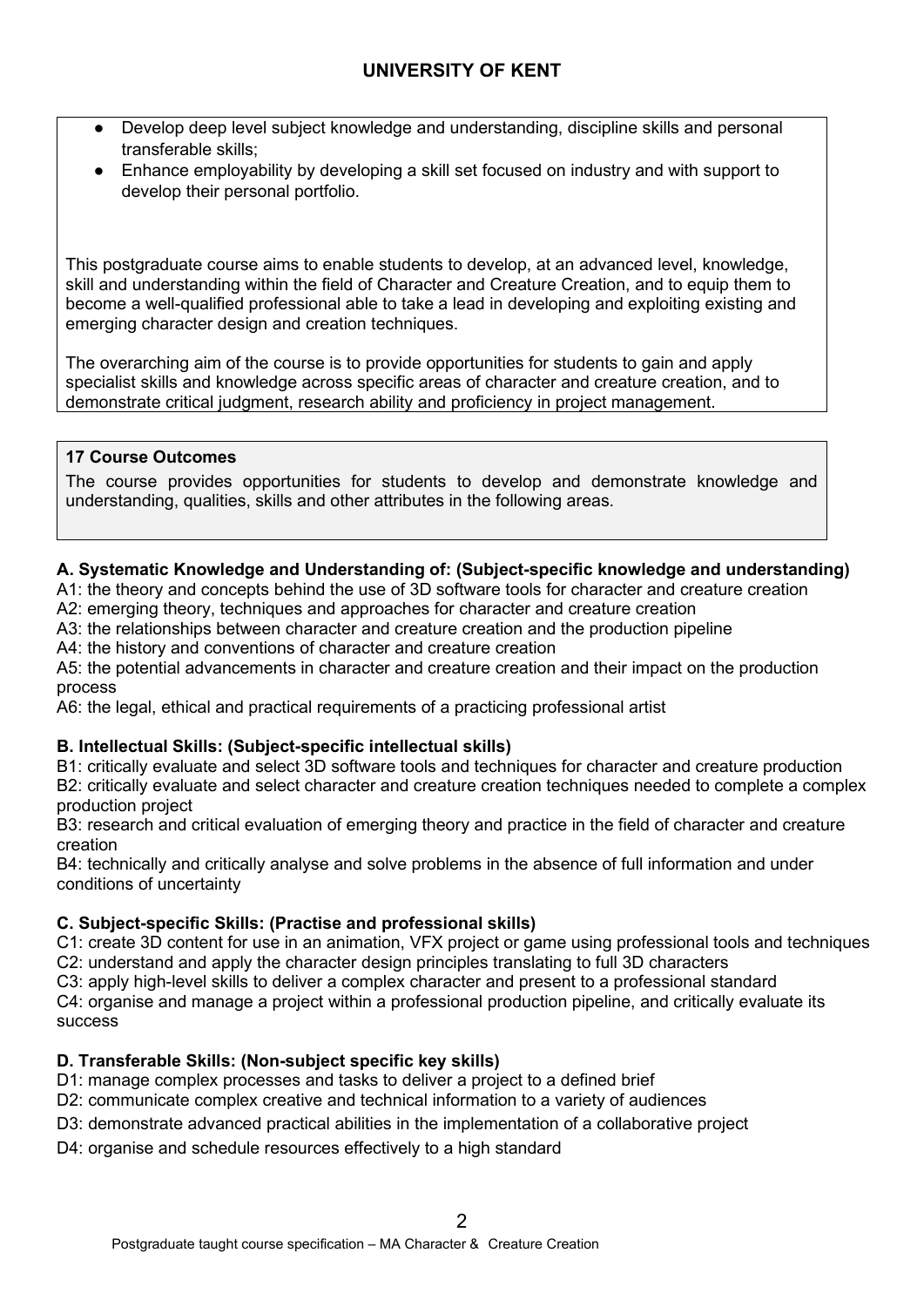- Develop deep level subject knowledge and understanding, discipline skills and personal transferable skills;
- Enhance employability by developing a skill set focused on industry and with support to develop their personal portfolio.

This postgraduate course aims to enable students to develop, at an advanced level, knowledge, skill and understanding within the field of Character and Creature Creation, and to equip them to become a well-qualified professional able to take a lead in developing and exploiting existing and emerging character design and creation techniques.

The overarching aim of the course is to provide opportunities for students to gain and apply specialist skills and knowledge across specific areas of character and creature creation, and to demonstrate critical judgment, research ability and proficiency in project management.

## **17 Course Outcomes**

The course provides opportunities for students to develop and demonstrate knowledge and understanding, qualities, skills and other attributes in the following areas.

### **A. Systematic Knowledge and Understanding of: (Subject-specific knowledge and understanding)**

A1: the theory and concepts behind the use of 3D software tools for character and creature creation

A2: emerging theory, techniques and approaches for character and creature creation

A3: the relationships between character and creature creation and the production pipeline

A4: the history and conventions of character and creature creation

A5: the potential advancements in character and creature creation and their impact on the production process

A6: the legal, ethical and practical requirements of a practicing professional artist

### **B. Intellectual Skills: (Subject-specific intellectual skills)**

B1: critically evaluate and select 3D software tools and techniques for character and creature production B2: critically evaluate and select character and creature creation techniques needed to complete a complex production project

B3: research and critical evaluation of emerging theory and practice in the field of character and creature creation

B4: technically and critically analyse and solve problems in the absence of full information and under conditions of uncertainty

# **C. Subject-specific Skills: (Practise and professional skills)**

C1: create 3D content for use in an animation, VFX project or game using professional tools and techniques C2: understand and apply the character design principles translating to full 3D characters

C3: apply high-level skills to deliver a complex character and present to a professional standard

C4: organise and manage a project within a professional production pipeline, and critically evaluate its success

# **D. Transferable Skills: (Non-subject specific key skills)**

- D1: manage complex processes and tasks to deliver a project to a defined brief
- D2: communicate complex creative and technical information to a variety of audiences
- D3: demonstrate advanced practical abilities in the implementation of a collaborative project
- D4: organise and schedule resources effectively to a high standard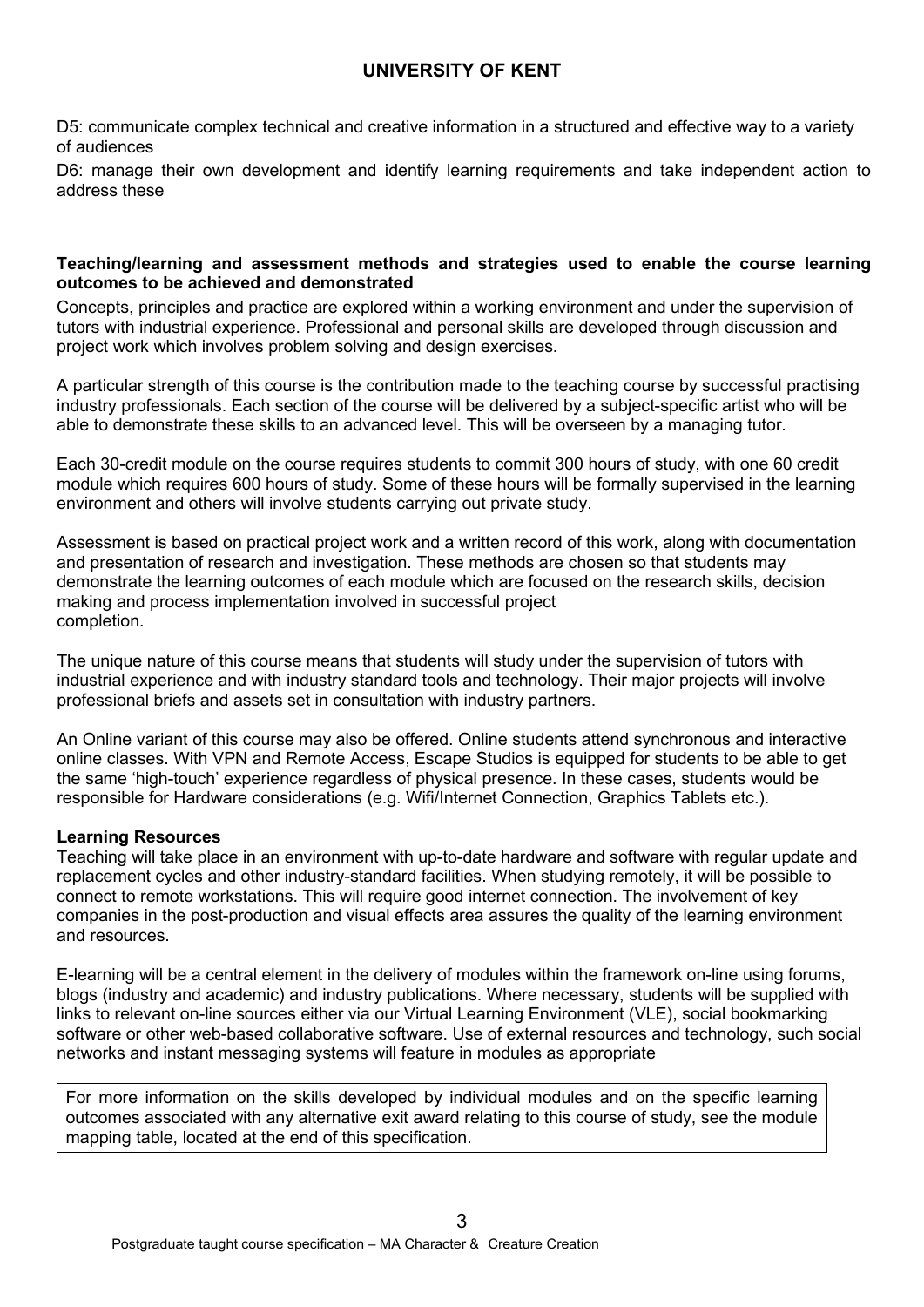D5: communicate complex technical and creative information in a structured and effective way to a variety of audiences

D6: manage their own development and identify learning requirements and take independent action to address these

#### **Teaching/learning and assessment methods and strategies used to enable the course learning outcomes to be achieved and demonstrated**

Concepts, principles and practice are explored within a working environment and under the supervision of tutors with industrial experience. Professional and personal skills are developed through discussion and project work which involves problem solving and design exercises.

A particular strength of this course is the contribution made to the teaching course by successful practising industry professionals. Each section of the course will be delivered by a subject-specific artist who will be able to demonstrate these skills to an advanced level. This will be overseen by a managing tutor.

Each 30-credit module on the course requires students to commit 300 hours of study, with one 60 credit module which requires 600 hours of study. Some of these hours will be formally supervised in the learning environment and others will involve students carrying out private study.

Assessment is based on practical project work and a written record of this work, along with documentation and presentation of research and investigation. These methods are chosen so that students may demonstrate the learning outcomes of each module which are focused on the research skills, decision making and process implementation involved in successful project completion.

The unique nature of this course means that students will study under the supervision of tutors with industrial experience and with industry standard tools and technology. Their major projects will involve professional briefs and assets set in consultation with industry partners.

An Online variant of this course may also be offered. Online students attend synchronous and interactive online classes. With VPN and Remote Access, Escape Studios is equipped for students to be able to get the same 'high-touch' experience regardless of physical presence. In these cases, students would be responsible for Hardware considerations (e.g. Wifi/Internet Connection, Graphics Tablets etc.).

#### **Learning Resources**

Teaching will take place in an environment with up-to-date hardware and software with regular update and replacement cycles and other industry-standard facilities. When studying remotely, it will be possible to connect to remote workstations. This will require good internet connection. The involvement of key companies in the post-production and visual effects area assures the quality of the learning environment and resources.

E-learning will be a central element in the delivery of modules within the framework on-line using forums, blogs (industry and academic) and industry publications. Where necessary, students will be supplied with links to relevant on-line sources either via our Virtual Learning Environment (VLE), social bookmarking software or other web-based collaborative software. Use of external resources and technology, such social networks and instant messaging systems will feature in modules as appropriate

For more information on the skills developed by individual modules and on the specific learning outcomes associated with any alternative exit award relating to this course of study, see the module mapping table, located at the end of this specification.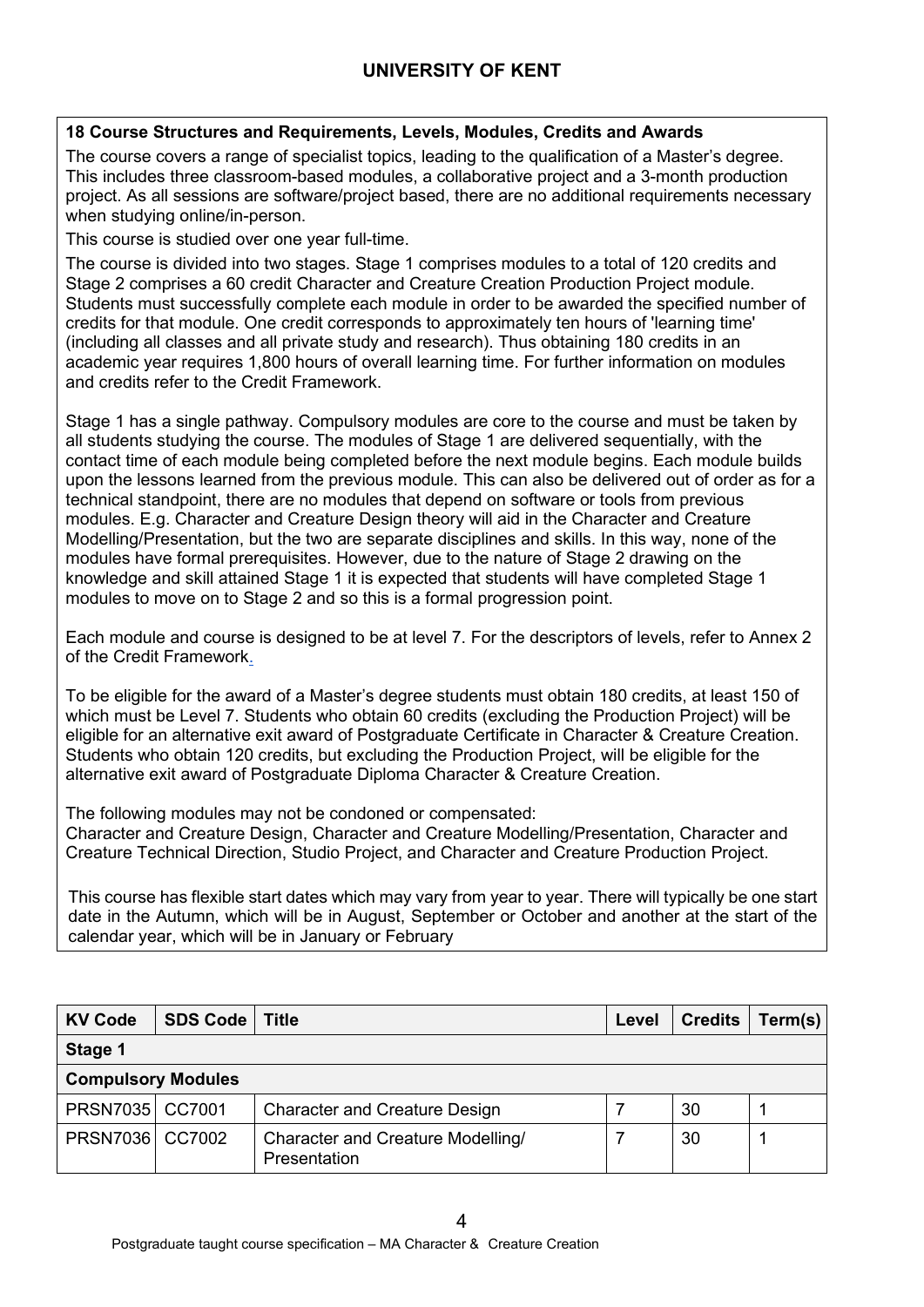## **18 Course Structures and Requirements, Levels, Modules, Credits and Awards**

The course covers a range of specialist topics, leading to the qualification of a Master's degree. This includes three classroom-based modules, a collaborative project and a 3-month production project. As all sessions are software/project based, there are no additional requirements necessary when studying online/in-person.

This course is studied over one year full-time.

The course is divided into two stages. Stage 1 comprises modules to a total of 120 credits and Stage 2 comprises a 60 credit Character and Creature Creation Production Project module. Students must successfully complete each module in order to be awarded the specified number of credits for that module. One credit corresponds to approximately ten hours of 'learning time' (including all classes and all private study and research). Thus obtaining 180 credits in an academic year requires 1,800 hours of overall learning time. For further information on modules and credits refer to the Credit Framework.

Stage 1 has a single pathway. Compulsory modules are core to the course and must be taken by all students studying the course. The modules of Stage 1 are delivered sequentially, with the contact time of each module being completed before the next module begins. Each module builds upon the lessons learned from the previous module. This can also be delivered out of order as for a technical standpoint, there are no modules that depend on software or tools from previous modules. E.g. Character and Creature Design theory will aid in the Character and Creature Modelling/Presentation, but the two are separate disciplines and skills. In this way, none of the modules have formal prerequisites. However, due to the nature of Stage 2 drawing on the knowledge and skill attained Stage 1 it is expected that students will have completed Stage 1 modules to move on to Stage 2 and so this is a formal progression point.

Each module and course is designed to be at level 7. For the descriptors of levels, refer to Annex 2 of the Credit Framework.

To be eligible for the award of a Master's degree students must obtain 180 credits, at least 150 of which must be Level 7. Students who obtain 60 credits (excluding the Production Project) will be eligible for an alternative exit award of Postgraduate Certificate in Character & Creature Creation. Students who obtain 120 credits, but excluding the Production Project, will be eligible for the alternative exit award of Postgraduate Diploma Character & Creature Creation.

The following modules may not be condoned or compensated:

Character and Creature Design, Character and Creature Modelling/Presentation, Character and Creature Technical Direction, Studio Project, and Character and Creature Production Project.

This course has flexible start dates which may vary from year to year. There will typically be one start date in the Autumn, which will be in August, September or October and another at the start of the calendar year, which will be in January or February

| <b>KV Code</b>            | <b>SDS Code</b> | Title                                                    | Level | <b>Credits</b> | Term(s) |
|---------------------------|-----------------|----------------------------------------------------------|-------|----------------|---------|
| Stage 1                   |                 |                                                          |       |                |         |
| <b>Compulsory Modules</b> |                 |                                                          |       |                |         |
| PRSN7035   CC7001         |                 | <b>Character and Creature Design</b>                     |       | 30             |         |
| PRSN7036   CC7002         |                 | <b>Character and Creature Modelling/</b><br>Presentation |       | 30             |         |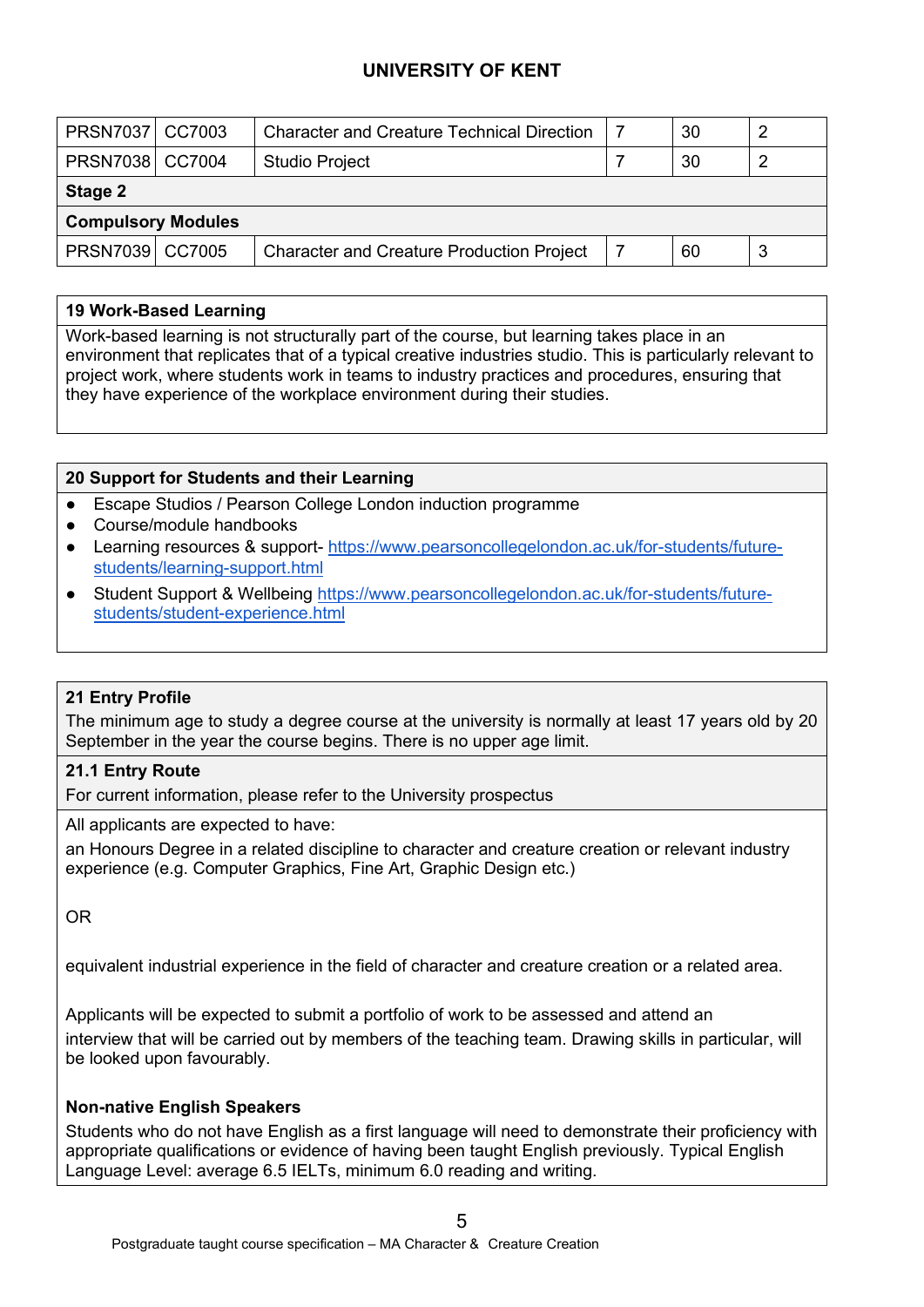| PRSN7037 CC7003           |  | <b>Character and Creature Technical Direction</b> |  | 30 |   |  |  |  |
|---------------------------|--|---------------------------------------------------|--|----|---|--|--|--|
| PRSN7038   CC7004         |  | <b>Studio Project</b>                             |  | 30 |   |  |  |  |
| Stage 2                   |  |                                                   |  |    |   |  |  |  |
| <b>Compulsory Modules</b> |  |                                                   |  |    |   |  |  |  |
| PRSN7039 CC7005           |  | <b>Character and Creature Production Project</b>  |  | 60 | 3 |  |  |  |

### **19 Work-Based Learning**

Work-based learning is not structurally part of the course, but learning takes place in an environment that replicates that of a typical creative industries studio. This is particularly relevant to project work, where students work in teams to industry practices and procedures, ensuring that they have experience of the workplace environment during their studies.

### **20 Support for Students and their Learning**

- Escape Studios / Pearson College London induction programme
- Course/module handbooks
- Learning resources & support- [https://www.pearsoncollegelondon.ac.uk/for-students/future](https://www.pearsoncollegelondon.ac.uk/for-students/future-students/learning-support.html)[students/learning-support.html](https://www.pearsoncollegelondon.ac.uk/for-students/future-students/learning-support.html)
- Student Support & Wellbeing [https://www.pearsoncollegelondon.ac.uk/for-students/future](https://www.pearsoncollegelondon.ac.uk/for-students/future-students/student-experience.html)[students/student-experience.html](https://www.pearsoncollegelondon.ac.uk/for-students/future-students/student-experience.html)

#### **21 Entry Profile**

The minimum age to study a degree course at the university is normally at least 17 years old by 20 September in the year the course begins. There is no upper age limit.

#### **21.1 Entry Route**

For current information, please refer to the University prospectus

All applicants are expected to have:

an Honours Degree in a related discipline to character and creature creation or relevant industry experience (e.g. Computer Graphics, Fine Art, Graphic Design etc.)

OR

equivalent industrial experience in the field of character and creature creation or a related area.

Applicants will be expected to submit a portfolio of work to be assessed and attend an interview that will be carried out by members of the teaching team. Drawing skills in particular, will be looked upon favourably.

#### **Non-native English Speakers**

Students who do not have English as a first language will need to demonstrate their proficiency with appropriate qualifications or evidence of having been taught English previously. Typical English Language Level: average 6.5 IELTs, minimum 6.0 reading and writing.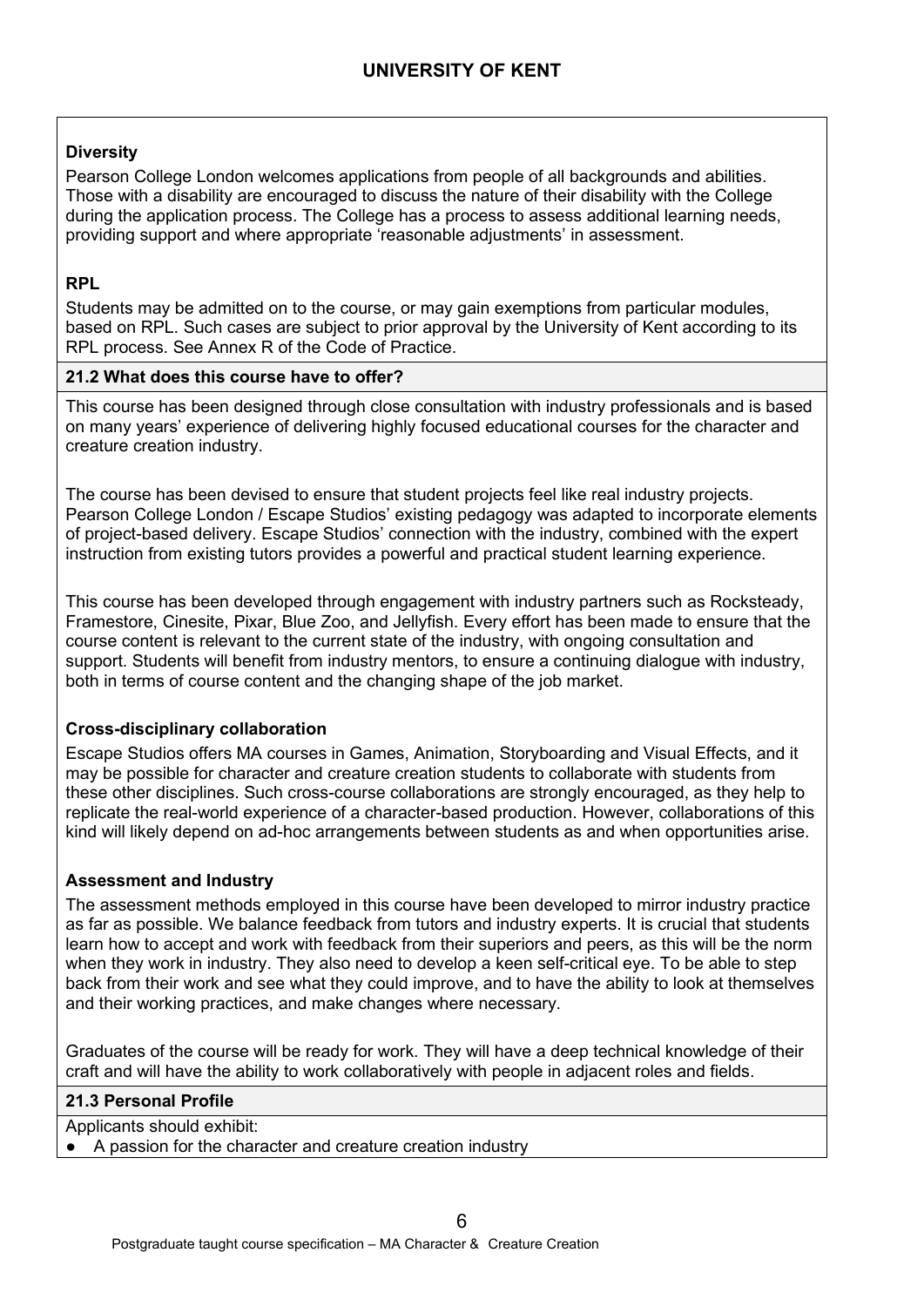### **Diversity**

Pearson College London welcomes applications from people of all backgrounds and abilities. Those with a disability are encouraged to discuss the nature of their disability with the College during the application process. The College has a process to assess additional learning needs, providing support and where appropriate 'reasonable adjustments' in assessment.

## **RPL**

Students may be admitted on to the course, or may gain exemptions from particular modules, based on RPL. Such cases are subject to prior approval by the University of Kent according to its RPL process. See Annex R of the Code of Practice.

### **21.2 What does this course have to offer?**

This course has been designed through close consultation with industry professionals and is based on many years' experience of delivering highly focused educational courses for the character and creature creation industry.

The course has been devised to ensure that student projects feel like real industry projects. Pearson College London / Escape Studios' existing pedagogy was adapted to incorporate elements of project-based delivery. Escape Studios' connection with the industry, combined with the expert instruction from existing tutors provides a powerful and practical student learning experience.

This course has been developed through engagement with industry partners such as Rocksteady, Framestore, Cinesite, Pixar, Blue Zoo, and Jellyfish. Every effort has been made to ensure that the course content is relevant to the current state of the industry, with ongoing consultation and support. Students will benefit from industry mentors, to ensure a continuing dialogue with industry, both in terms of course content and the changing shape of the job market.

### **Cross-disciplinary collaboration**

Escape Studios offers MA courses in Games, Animation, Storyboarding and Visual Effects, and it may be possible for character and creature creation students to collaborate with students from these other disciplines. Such cross-course collaborations are strongly encouraged, as they help to replicate the real-world experience of a character-based production. However, collaborations of this kind will likely depend on ad-hoc arrangements between students as and when opportunities arise.

### **Assessment and Industry**

The assessment methods employed in this course have been developed to mirror industry practice as far as possible. We balance feedback from tutors and industry experts. It is crucial that students learn how to accept and work with feedback from their superiors and peers, as this will be the norm when they work in industry. They also need to develop a keen self-critical eye. To be able to step back from their work and see what they could improve, and to have the ability to look at themselves and their working practices, and make changes where necessary.

Graduates of the course will be ready for work. They will have a deep technical knowledge of their craft and will have the ability to work collaboratively with people in adjacent roles and fields.

#### **21.3 Personal Profile**

Applicants should exhibit:

A passion for the character and creature creation industry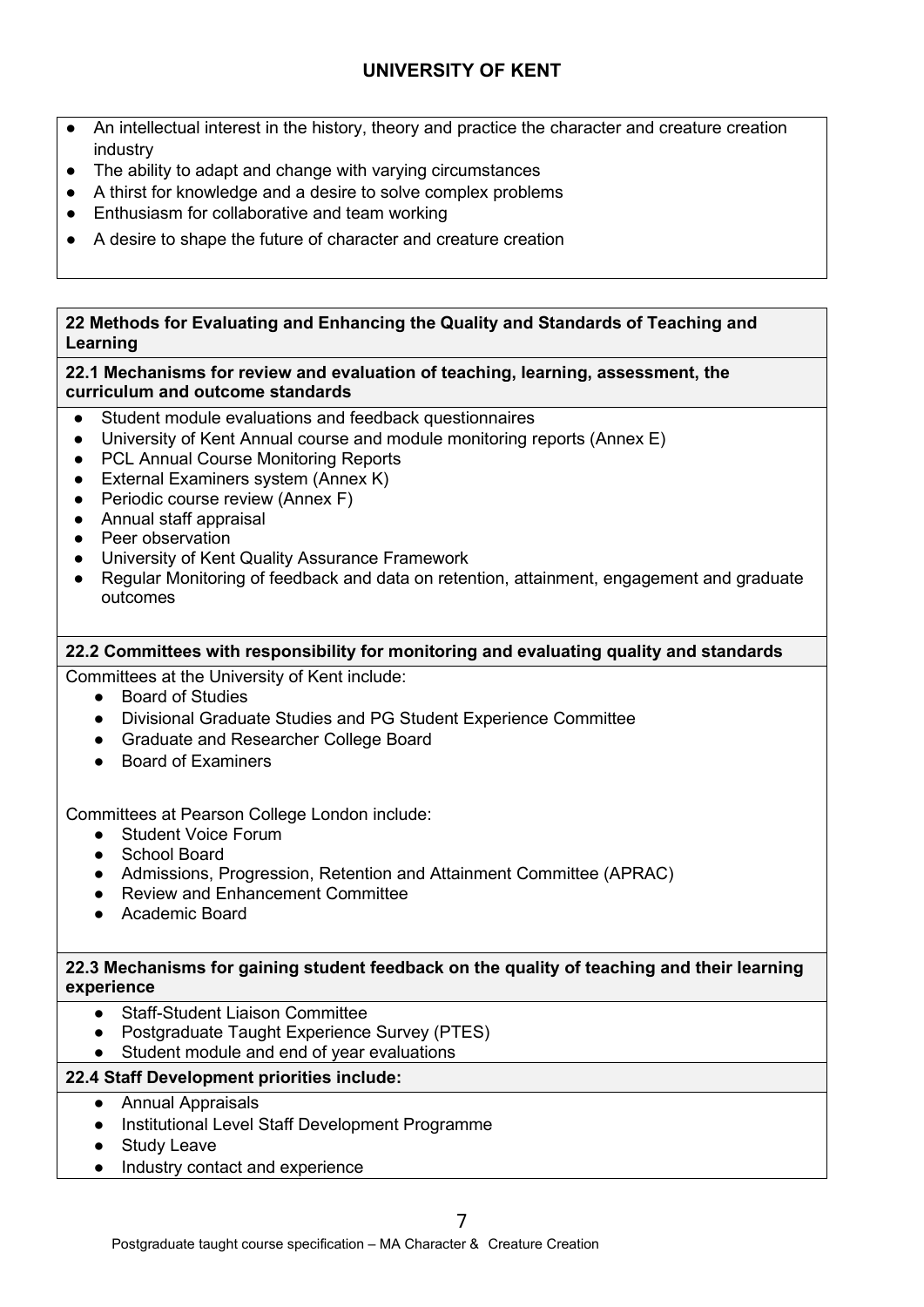- An intellectual interest in the history, theory and practice the character and creature creation industry
- The ability to adapt and change with varying circumstances
- A thirst for knowledge and a desire to solve complex problems
- Enthusiasm for collaborative and team working
- A desire to shape the future of character and creature creation

### **22 Methods for Evaluating and Enhancing the Quality and Standards of Teaching and Learning**

## **22.1 Mechanisms for review and evaluation of teaching, learning, assessment, the curriculum and outcome standards**

- Student module evaluations and feedback questionnaires
- University of Kent Annual course and module monitoring reports (Annex E)
- PCL Annual Course Monitoring Reports
- External Examiners system (Annex K)
- Periodic course review (Annex F)
- Annual staff appraisal
- Peer observation
- University of Kent Quality Assurance Framework
- Regular Monitoring of feedback and data on retention, attainment, engagement and graduate outcomes

# **22.2 Committees with responsibility for monitoring and evaluating quality and standards**

Committees at the University of Kent include:

- Board of Studies
- Divisional Graduate Studies and PG Student Experience Committee
- Graduate and Researcher College Board
- Board of Examiners

Committees at Pearson College London include:

- Student Voice Forum
- School Board
- Admissions, Progression, Retention and Attainment Committee (APRAC)
- Review and Enhancement Committee
- Academic Board

### **22.3 Mechanisms for gaining student feedback on the quality of teaching and their learning experience**

- Staff-Student Liaison Committee
- Postgraduate Taught Experience Survey (PTES)
- Student module and end of year evaluations

# **22.4 Staff Development priorities include:**

- Annual Appraisals
- Institutional Level Staff Development Programme
- Study Leave
- Industry contact and experience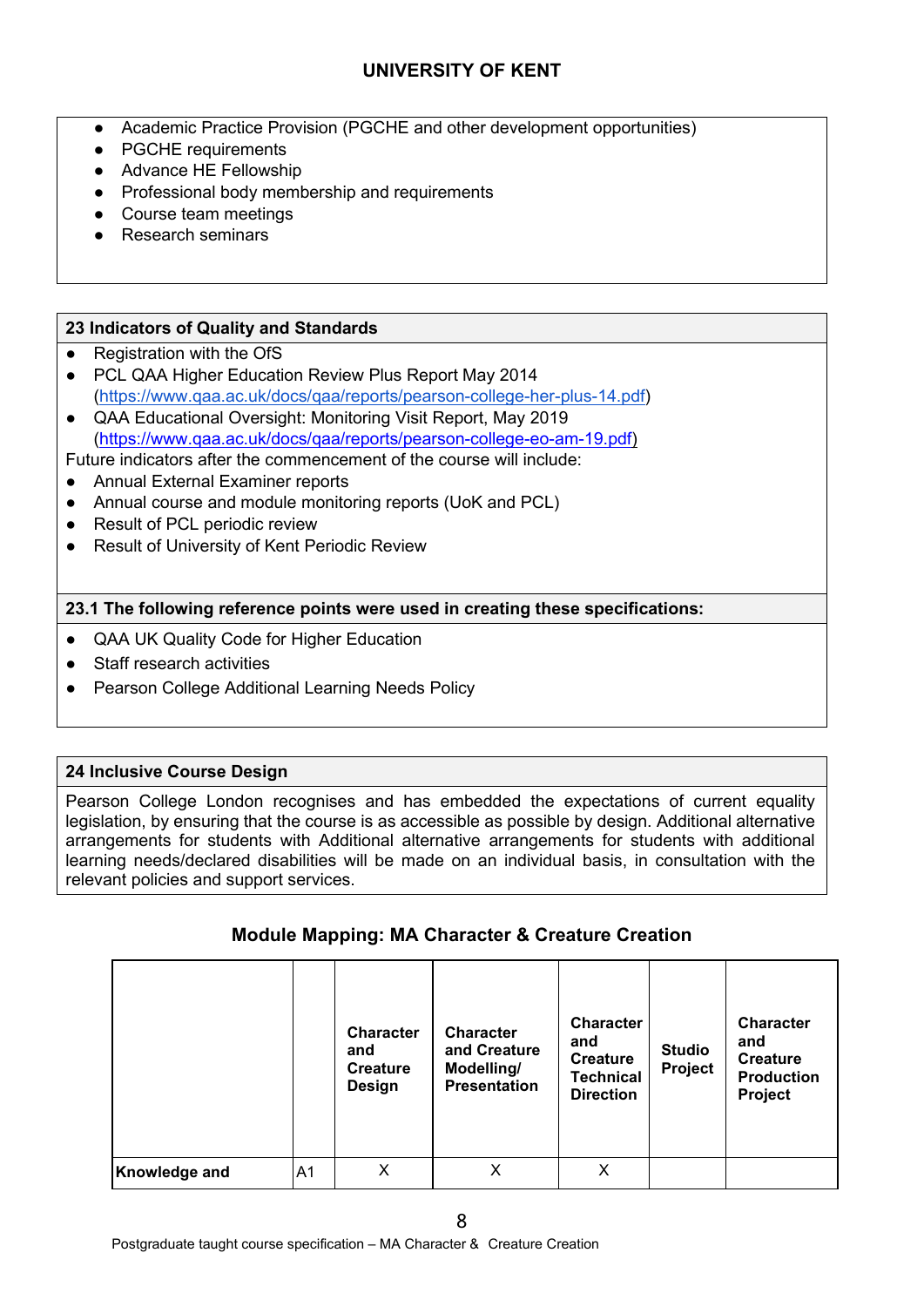- Academic Practice Provision (PGCHE and other development opportunities)
- PGCHE requirements
- Advance HE Fellowship
- Professional body membership and requirements
- Course team meetings
- **Research seminars**

### **23 Indicators of Quality and Standards**

- Registration with the OfS
- PCL QAA Higher Education Review Plus Report May 2014 [\(https://www.qaa.ac.uk/docs/qaa/reports/pearson-college-her-plus-14.pdf\)](https://www.qaa.ac.uk/docs/qaa/reports/pearson-college-her-plus-14.pdf)
- QAA Educational Oversight: Monitoring Visit Report, May 2019 [\(https://www.qaa.ac.uk/docs/qaa/reports/pearson-college-eo-am-19.pdf\)](https://www.qaa.ac.uk/docs/qaa/reports/pearson-college-eo-am-19.pdf)

Future indicators after the commencement of the course will include:

- Annual External Examiner reports
- Annual course and module monitoring reports (UoK and PCL)
- Result of PCL periodic review
- Result of University of Kent Periodic Review

#### **23.1 The following reference points were used in creating these specifications:**

- QAA UK Quality Code for Higher Education
- **Staff research activities**
- Pearson College Additional Learning Needs Policy

#### **24 Inclusive Course Design**

Pearson College London recognises and has embedded the expectations of current equality legislation, by ensuring that the course is as accessible as possible by design. Additional alternative arrangements for students with Additional alternative arrangements for students with additional learning needs/declared disabilities will be made on an individual basis, in consultation with the relevant policies and support services.

### **Module Mapping: MA Character & Creature Creation**

|                      |    | <b>Character</b><br>and<br><b>Creature</b><br>Design | <b>Character</b><br>and Creature<br>Modelling/<br><b>Presentation</b> | <b>Character</b><br>and<br><b>Creature</b><br><b>Technical</b><br><b>Direction</b> | <b>Studio</b><br>Project | <b>Character</b><br>and<br><b>Creature</b><br><b>Production</b><br>Project |
|----------------------|----|------------------------------------------------------|-----------------------------------------------------------------------|------------------------------------------------------------------------------------|--------------------------|----------------------------------------------------------------------------|
| <b>Knowledge and</b> | A1 | X                                                    | X                                                                     | X                                                                                  |                          |                                                                            |